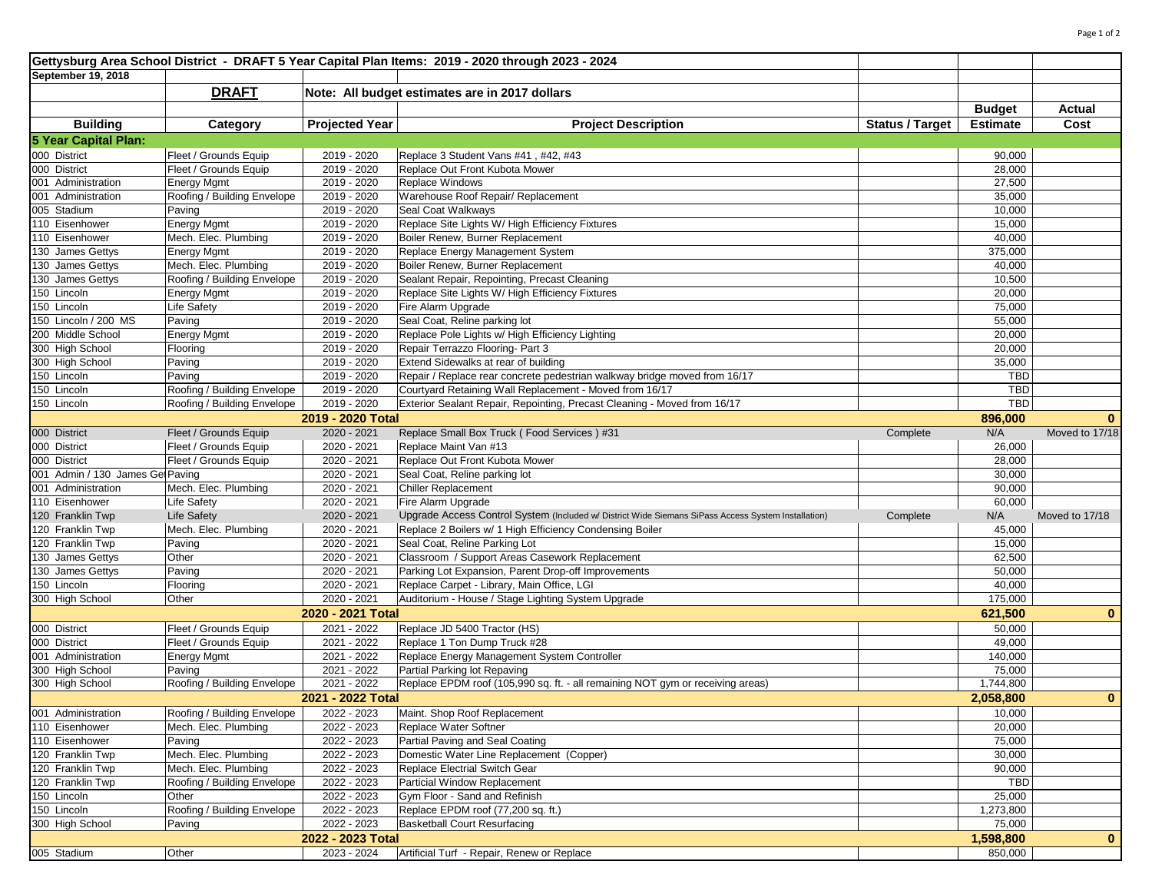| September 19, 2018<br><b>DRAFT</b><br>Note: All budget estimates are in 2017 dollars<br><b>Budget</b><br>Actual<br><b>Projected Year</b><br><b>Building</b><br><b>Project Description</b><br><b>Status / Target</b><br>Cost<br>Category<br><b>Estimate</b><br>5 Year Capital Plan:<br>000 District<br>Fleet / Grounds Equip<br>2019 - 2020<br>Replace 3 Student Vans #41, #42, #43<br>90,000<br>000 District<br>Fleet / Grounds Equip<br>Replace Out Front Kubota Mower<br>28,000<br>2019 - 2020<br>001 Administration<br>Energy Mgmt<br>2019 - 2020<br>Replace Windows<br>27,500<br>2019 - 2020<br>001 Administration<br>Roofing / Building Envelope<br>Warehouse Roof Repair/ Replacement<br>35,000<br>005 Stadium<br>Seal Coat Walkways<br>10,000<br>Paving<br>2019 - 2020<br>110 Eisenhower<br>Energy Mgmt<br>2019 - 2020<br>Replace Site Lights W/ High Efficiency Fixtures<br>15,000<br>Mech. Elec. Plumbing<br>2019 - 2020<br>Boiler Renew, Burner Replacement<br>40,000<br>110 Eisenhower<br>130 James Gettys<br>Energy Mgmt<br>2019 - 2020<br>Replace Energy Management System<br>375,000<br>130 James Gettys<br>Mech. Elec. Plumbing<br>2019 - 2020<br>Boiler Renew, Burner Replacement<br>40,000<br>130 James Gettys<br>Roofing / Building Envelope<br>2019 - 2020<br>Sealant Repair, Repointing, Precast Cleaning<br>10,500<br>150 Lincoln<br>2019 - 2020<br>Replace Site Lights W/ High Efficiency Fixtures<br>20,000<br>Energy Mgmt<br>Fire Alarm Upgrade<br>150 Lincoln<br>Life Safety<br>2019 - 2020<br>75,000<br>150 Lincoln / 200 MS<br>Seal Coat, Reline parking lot<br>Paving<br>2019 - 2020<br>55,000<br>200 Middle School<br>Replace Pole Lights w/ High Efficiency Lighting<br><b>Energy Mgmt</b><br>2019 - 2020<br>20,000<br>300 High School<br>2019 - 2020<br>Repair Terrazzo Flooring- Part 3<br>20,000<br>Flooring<br>300 High School<br>2019 - 2020<br>Extend Sidewalks at rear of building<br>35,000<br>Paving<br>150 Lincoln<br>Paving<br>2019 - 2020<br>Repair / Replace rear concrete pedestrian walkway bridge moved from 16/17<br><b>TBD</b><br>150 Lincoln<br>2019 - 2020<br><b>TBD</b><br>Roofing / Building Envelope<br>Courtyard Retaining Wall Replacement - Moved from 16/17<br><b>TBD</b><br>150 Lincoln<br>2019 - 2020<br>Exterior Sealant Repair, Repointing, Precast Cleaning - Moved from 16/17<br>Roofing / Building Envelope<br>2019 - 2020 Total<br>896,000<br>$\bf{0}$<br>000 District<br>2020 - 2021<br>Fleet / Grounds Equip<br>Replace Small Box Truck (Food Services) #31<br>N/A<br>Moved to 17/18<br>Complete<br>000 District<br>Fleet / Grounds Equip<br>Replace Maint Van #13<br>2020 - 2021<br>26,000<br>000 District<br>Fleet / Grounds Equip<br>2020 - 2021<br>Replace Out Front Kubota Mower<br>28,000<br>001 Admin / 130 James Ge Paving<br>2020 - 2021<br>Seal Coat, Reline parking lot<br>30,000<br>Mech. Elec. Plumbing<br>2020 - 2021<br>Chiller Replacement<br>90,000<br>001 Administration<br>110 Eisenhower<br>2020 - 2021<br>Fire Alarm Upgrade<br>60,000<br><b>Life Safety</b><br>120 Franklin Twp<br><b>Life Safety</b><br>2020 - 2021<br>Upgrade Access Control System (Included w/ District Wide Siemans SiPass Access System Installation)<br>Complete<br>N/A<br>Moved to 17/18<br>Mech. Elec. Plumbing<br>2020 - 2021<br>Replace 2 Boilers w/ 1 High Efficiency Condensing Boiler<br>45,000<br>120 Franklin Twp<br>120 Franklin Twp<br>Seal Coat, Reline Parking Lot<br>Paving<br>2020 - 2021<br>15,000<br>Other<br>2020 - 2021<br>Classroom / Support Areas Casework Replacement<br>62,500<br>130 James Gettys<br>130 James Gettys<br>2020 - 2021<br>Parking Lot Expansion, Parent Drop-off Improvements<br>Paving<br>50,000<br>150 Lincoln<br>Flooring<br>Replace Carpet - Library, Main Office, LGI<br>40,000<br>2020 - 2021<br>2020 - 2021<br>300 High School<br>Auditorium - House / Stage Lighting System Upgrade<br>175,000<br>Other<br>2020 - 2021 Total<br>621,500<br>$\bf{0}$<br>Replace JD 5400 Tractor (HS)<br>000 District<br>Fleet / Grounds Equip<br>2021 - 2022<br>50,000<br>000 District<br>Fleet / Grounds Equip<br>2021 - 2022<br>Replace 1 Ton Dump Truck #28<br>49,000<br>001 Administration<br>2021 - 2022<br>Replace Energy Management System Controller<br>Energy Mgmt<br>140,000<br>300 High School<br>Paving<br>2021 - 2022<br>Partial Parking lot Repaving<br>75,000<br>Roofing / Building Envelope<br>2021 - 2022<br>Replace EPDM roof (105,990 sq. ft. - all remaining NOT gym or receiving areas)<br>300 High School<br>1,744,800<br>2021 - 2022 Total<br>2,058,800<br>$\mathbf{0}$<br>001 Administration<br>10,000<br>Roofing / Building Envelope<br>2022 - 2023<br>Maint. Shop Roof Replacement<br>Replace Water Softner<br>110 Eisenhower<br>Mech. Elec. Plumbing<br>2022 - 2023<br>20,000<br>110 Eisenhower<br>Partial Paving and Seal Coating<br>75,000<br>Paving<br>2022 - 2023<br>Mech. Elec. Plumbing<br>120 Franklin Twp<br>2022 - 2023<br>Domestic Water Line Replacement (Copper)<br>30,000<br>Mech. Elec. Plumbing<br>Replace Electrial Switch Gear<br>90,000<br>120 Franklin Twp<br>2022 - 2023<br><b>TBD</b><br>120 Franklin Twp<br>Roofing / Building Envelope<br>2022 - 2023<br>Particial Window Replacement<br>150 Lincoln<br>2022 - 2023<br>25,000<br>Gym Floor - Sand and Refinish<br>Other<br>150 Lincoln<br>Roofing / Building Envelope<br>1,273,800<br>2022 - 2023<br>Replace EPDM roof (77,200 sq. ft.)<br>300 High School<br><b>Basketball Court Resurfacing</b><br>2022 - 2023<br>75,000<br>Paving<br>2022 - 2023 Total<br>1,598,800<br>$\mathbf{0}$<br>005 Stadium<br>Other<br>2023 - 2024<br>Artificial Turf - Repair, Renew or Replace<br>850,000 | Gettysburg Area School District - DRAFT 5 Year Capital Plan Items: 2019 - 2020 through 2023 - 2024 |  |  |  |  |  |  |  |  |  |
|----------------------------------------------------------------------------------------------------------------------------------------------------------------------------------------------------------------------------------------------------------------------------------------------------------------------------------------------------------------------------------------------------------------------------------------------------------------------------------------------------------------------------------------------------------------------------------------------------------------------------------------------------------------------------------------------------------------------------------------------------------------------------------------------------------------------------------------------------------------------------------------------------------------------------------------------------------------------------------------------------------------------------------------------------------------------------------------------------------------------------------------------------------------------------------------------------------------------------------------------------------------------------------------------------------------------------------------------------------------------------------------------------------------------------------------------------------------------------------------------------------------------------------------------------------------------------------------------------------------------------------------------------------------------------------------------------------------------------------------------------------------------------------------------------------------------------------------------------------------------------------------------------------------------------------------------------------------------------------------------------------------------------------------------------------------------------------------------------------------------------------------------------------------------------------------------------------------------------------------------------------------------------------------------------------------------------------------------------------------------------------------------------------------------------------------------------------------------------------------------------------------------------------------------------------------------------------------------------------------------------------------------------------------------------------------------------------------------------------------------------------------------------------------------------------------------------------------------------------------------------------------------------------------------------------------------------------------------------------------------------------------------------------------------------------------------------------------------------------------------------------------------------------------------------------------------------------------------------------------------------------------------------------------------------------------------------------------------------------------------------------------------------------------------------------------------------------------------------------------------------------------------------------------------------------------------------------------------------------------------------------------------------------------------------------------------------------------------------------------------------------------------------------------------------------------------------------------------------------------------------------------------------------------------------------------------------------------------------------------------------------------------------------------------------------------------------------------------------------------------------------------------------------------------------------------------------------------------------------------------------------------------------------------------------------------------------------------------------------------------------------------------------------------------------------------------------------------------------------------------------------------------------------------------------------------------------------------------------------------------------------------------------------------------------------------------------------------------------------------------------------------------------------------------------------------------------------------------------------------------------------------------------------------------------------------------------------------------------------------------------------------------------------------------------------------------------------------------------------------------------------------------------------------------------------------------------------------------------------------------------------------------------------------------------------------------------------------------------------------------------------------------------------------------------------------------------------------------------------------------------------------------------------------------------------------------------------------------------------------------------------------------------------------------------------------|----------------------------------------------------------------------------------------------------|--|--|--|--|--|--|--|--|--|
|                                                                                                                                                                                                                                                                                                                                                                                                                                                                                                                                                                                                                                                                                                                                                                                                                                                                                                                                                                                                                                                                                                                                                                                                                                                                                                                                                                                                                                                                                                                                                                                                                                                                                                                                                                                                                                                                                                                                                                                                                                                                                                                                                                                                                                                                                                                                                                                                                                                                                                                                                                                                                                                                                                                                                                                                                                                                                                                                                                                                                                                                                                                                                                                                                                                                                                                                                                                                                                                                                                                                                                                                                                                                                                                                                                                                                                                                                                                                                                                                                                                                                                                                                                                                                                                                                                                                                                                                                                                                                                                                                                                                                                                                                                                                                                                                                                                                                                                                                                                                                                                                                                                                                                                                                                                                                                                                                                                                                                                                                                                                                                                                                                                                                        |                                                                                                    |  |  |  |  |  |  |  |  |  |
|                                                                                                                                                                                                                                                                                                                                                                                                                                                                                                                                                                                                                                                                                                                                                                                                                                                                                                                                                                                                                                                                                                                                                                                                                                                                                                                                                                                                                                                                                                                                                                                                                                                                                                                                                                                                                                                                                                                                                                                                                                                                                                                                                                                                                                                                                                                                                                                                                                                                                                                                                                                                                                                                                                                                                                                                                                                                                                                                                                                                                                                                                                                                                                                                                                                                                                                                                                                                                                                                                                                                                                                                                                                                                                                                                                                                                                                                                                                                                                                                                                                                                                                                                                                                                                                                                                                                                                                                                                                                                                                                                                                                                                                                                                                                                                                                                                                                                                                                                                                                                                                                                                                                                                                                                                                                                                                                                                                                                                                                                                                                                                                                                                                                                        |                                                                                                    |  |  |  |  |  |  |  |  |  |
|                                                                                                                                                                                                                                                                                                                                                                                                                                                                                                                                                                                                                                                                                                                                                                                                                                                                                                                                                                                                                                                                                                                                                                                                                                                                                                                                                                                                                                                                                                                                                                                                                                                                                                                                                                                                                                                                                                                                                                                                                                                                                                                                                                                                                                                                                                                                                                                                                                                                                                                                                                                                                                                                                                                                                                                                                                                                                                                                                                                                                                                                                                                                                                                                                                                                                                                                                                                                                                                                                                                                                                                                                                                                                                                                                                                                                                                                                                                                                                                                                                                                                                                                                                                                                                                                                                                                                                                                                                                                                                                                                                                                                                                                                                                                                                                                                                                                                                                                                                                                                                                                                                                                                                                                                                                                                                                                                                                                                                                                                                                                                                                                                                                                                        |                                                                                                    |  |  |  |  |  |  |  |  |  |
|                                                                                                                                                                                                                                                                                                                                                                                                                                                                                                                                                                                                                                                                                                                                                                                                                                                                                                                                                                                                                                                                                                                                                                                                                                                                                                                                                                                                                                                                                                                                                                                                                                                                                                                                                                                                                                                                                                                                                                                                                                                                                                                                                                                                                                                                                                                                                                                                                                                                                                                                                                                                                                                                                                                                                                                                                                                                                                                                                                                                                                                                                                                                                                                                                                                                                                                                                                                                                                                                                                                                                                                                                                                                                                                                                                                                                                                                                                                                                                                                                                                                                                                                                                                                                                                                                                                                                                                                                                                                                                                                                                                                                                                                                                                                                                                                                                                                                                                                                                                                                                                                                                                                                                                                                                                                                                                                                                                                                                                                                                                                                                                                                                                                                        |                                                                                                    |  |  |  |  |  |  |  |  |  |
|                                                                                                                                                                                                                                                                                                                                                                                                                                                                                                                                                                                                                                                                                                                                                                                                                                                                                                                                                                                                                                                                                                                                                                                                                                                                                                                                                                                                                                                                                                                                                                                                                                                                                                                                                                                                                                                                                                                                                                                                                                                                                                                                                                                                                                                                                                                                                                                                                                                                                                                                                                                                                                                                                                                                                                                                                                                                                                                                                                                                                                                                                                                                                                                                                                                                                                                                                                                                                                                                                                                                                                                                                                                                                                                                                                                                                                                                                                                                                                                                                                                                                                                                                                                                                                                                                                                                                                                                                                                                                                                                                                                                                                                                                                                                                                                                                                                                                                                                                                                                                                                                                                                                                                                                                                                                                                                                                                                                                                                                                                                                                                                                                                                                                        |                                                                                                    |  |  |  |  |  |  |  |  |  |
|                                                                                                                                                                                                                                                                                                                                                                                                                                                                                                                                                                                                                                                                                                                                                                                                                                                                                                                                                                                                                                                                                                                                                                                                                                                                                                                                                                                                                                                                                                                                                                                                                                                                                                                                                                                                                                                                                                                                                                                                                                                                                                                                                                                                                                                                                                                                                                                                                                                                                                                                                                                                                                                                                                                                                                                                                                                                                                                                                                                                                                                                                                                                                                                                                                                                                                                                                                                                                                                                                                                                                                                                                                                                                                                                                                                                                                                                                                                                                                                                                                                                                                                                                                                                                                                                                                                                                                                                                                                                                                                                                                                                                                                                                                                                                                                                                                                                                                                                                                                                                                                                                                                                                                                                                                                                                                                                                                                                                                                                                                                                                                                                                                                                                        |                                                                                                    |  |  |  |  |  |  |  |  |  |
|                                                                                                                                                                                                                                                                                                                                                                                                                                                                                                                                                                                                                                                                                                                                                                                                                                                                                                                                                                                                                                                                                                                                                                                                                                                                                                                                                                                                                                                                                                                                                                                                                                                                                                                                                                                                                                                                                                                                                                                                                                                                                                                                                                                                                                                                                                                                                                                                                                                                                                                                                                                                                                                                                                                                                                                                                                                                                                                                                                                                                                                                                                                                                                                                                                                                                                                                                                                                                                                                                                                                                                                                                                                                                                                                                                                                                                                                                                                                                                                                                                                                                                                                                                                                                                                                                                                                                                                                                                                                                                                                                                                                                                                                                                                                                                                                                                                                                                                                                                                                                                                                                                                                                                                                                                                                                                                                                                                                                                                                                                                                                                                                                                                                                        |                                                                                                    |  |  |  |  |  |  |  |  |  |
|                                                                                                                                                                                                                                                                                                                                                                                                                                                                                                                                                                                                                                                                                                                                                                                                                                                                                                                                                                                                                                                                                                                                                                                                                                                                                                                                                                                                                                                                                                                                                                                                                                                                                                                                                                                                                                                                                                                                                                                                                                                                                                                                                                                                                                                                                                                                                                                                                                                                                                                                                                                                                                                                                                                                                                                                                                                                                                                                                                                                                                                                                                                                                                                                                                                                                                                                                                                                                                                                                                                                                                                                                                                                                                                                                                                                                                                                                                                                                                                                                                                                                                                                                                                                                                                                                                                                                                                                                                                                                                                                                                                                                                                                                                                                                                                                                                                                                                                                                                                                                                                                                                                                                                                                                                                                                                                                                                                                                                                                                                                                                                                                                                                                                        |                                                                                                    |  |  |  |  |  |  |  |  |  |
|                                                                                                                                                                                                                                                                                                                                                                                                                                                                                                                                                                                                                                                                                                                                                                                                                                                                                                                                                                                                                                                                                                                                                                                                                                                                                                                                                                                                                                                                                                                                                                                                                                                                                                                                                                                                                                                                                                                                                                                                                                                                                                                                                                                                                                                                                                                                                                                                                                                                                                                                                                                                                                                                                                                                                                                                                                                                                                                                                                                                                                                                                                                                                                                                                                                                                                                                                                                                                                                                                                                                                                                                                                                                                                                                                                                                                                                                                                                                                                                                                                                                                                                                                                                                                                                                                                                                                                                                                                                                                                                                                                                                                                                                                                                                                                                                                                                                                                                                                                                                                                                                                                                                                                                                                                                                                                                                                                                                                                                                                                                                                                                                                                                                                        |                                                                                                    |  |  |  |  |  |  |  |  |  |
|                                                                                                                                                                                                                                                                                                                                                                                                                                                                                                                                                                                                                                                                                                                                                                                                                                                                                                                                                                                                                                                                                                                                                                                                                                                                                                                                                                                                                                                                                                                                                                                                                                                                                                                                                                                                                                                                                                                                                                                                                                                                                                                                                                                                                                                                                                                                                                                                                                                                                                                                                                                                                                                                                                                                                                                                                                                                                                                                                                                                                                                                                                                                                                                                                                                                                                                                                                                                                                                                                                                                                                                                                                                                                                                                                                                                                                                                                                                                                                                                                                                                                                                                                                                                                                                                                                                                                                                                                                                                                                                                                                                                                                                                                                                                                                                                                                                                                                                                                                                                                                                                                                                                                                                                                                                                                                                                                                                                                                                                                                                                                                                                                                                                                        |                                                                                                    |  |  |  |  |  |  |  |  |  |
|                                                                                                                                                                                                                                                                                                                                                                                                                                                                                                                                                                                                                                                                                                                                                                                                                                                                                                                                                                                                                                                                                                                                                                                                                                                                                                                                                                                                                                                                                                                                                                                                                                                                                                                                                                                                                                                                                                                                                                                                                                                                                                                                                                                                                                                                                                                                                                                                                                                                                                                                                                                                                                                                                                                                                                                                                                                                                                                                                                                                                                                                                                                                                                                                                                                                                                                                                                                                                                                                                                                                                                                                                                                                                                                                                                                                                                                                                                                                                                                                                                                                                                                                                                                                                                                                                                                                                                                                                                                                                                                                                                                                                                                                                                                                                                                                                                                                                                                                                                                                                                                                                                                                                                                                                                                                                                                                                                                                                                                                                                                                                                                                                                                                                        |                                                                                                    |  |  |  |  |  |  |  |  |  |
|                                                                                                                                                                                                                                                                                                                                                                                                                                                                                                                                                                                                                                                                                                                                                                                                                                                                                                                                                                                                                                                                                                                                                                                                                                                                                                                                                                                                                                                                                                                                                                                                                                                                                                                                                                                                                                                                                                                                                                                                                                                                                                                                                                                                                                                                                                                                                                                                                                                                                                                                                                                                                                                                                                                                                                                                                                                                                                                                                                                                                                                                                                                                                                                                                                                                                                                                                                                                                                                                                                                                                                                                                                                                                                                                                                                                                                                                                                                                                                                                                                                                                                                                                                                                                                                                                                                                                                                                                                                                                                                                                                                                                                                                                                                                                                                                                                                                                                                                                                                                                                                                                                                                                                                                                                                                                                                                                                                                                                                                                                                                                                                                                                                                                        |                                                                                                    |  |  |  |  |  |  |  |  |  |
|                                                                                                                                                                                                                                                                                                                                                                                                                                                                                                                                                                                                                                                                                                                                                                                                                                                                                                                                                                                                                                                                                                                                                                                                                                                                                                                                                                                                                                                                                                                                                                                                                                                                                                                                                                                                                                                                                                                                                                                                                                                                                                                                                                                                                                                                                                                                                                                                                                                                                                                                                                                                                                                                                                                                                                                                                                                                                                                                                                                                                                                                                                                                                                                                                                                                                                                                                                                                                                                                                                                                                                                                                                                                                                                                                                                                                                                                                                                                                                                                                                                                                                                                                                                                                                                                                                                                                                                                                                                                                                                                                                                                                                                                                                                                                                                                                                                                                                                                                                                                                                                                                                                                                                                                                                                                                                                                                                                                                                                                                                                                                                                                                                                                                        |                                                                                                    |  |  |  |  |  |  |  |  |  |
|                                                                                                                                                                                                                                                                                                                                                                                                                                                                                                                                                                                                                                                                                                                                                                                                                                                                                                                                                                                                                                                                                                                                                                                                                                                                                                                                                                                                                                                                                                                                                                                                                                                                                                                                                                                                                                                                                                                                                                                                                                                                                                                                                                                                                                                                                                                                                                                                                                                                                                                                                                                                                                                                                                                                                                                                                                                                                                                                                                                                                                                                                                                                                                                                                                                                                                                                                                                                                                                                                                                                                                                                                                                                                                                                                                                                                                                                                                                                                                                                                                                                                                                                                                                                                                                                                                                                                                                                                                                                                                                                                                                                                                                                                                                                                                                                                                                                                                                                                                                                                                                                                                                                                                                                                                                                                                                                                                                                                                                                                                                                                                                                                                                                                        |                                                                                                    |  |  |  |  |  |  |  |  |  |
|                                                                                                                                                                                                                                                                                                                                                                                                                                                                                                                                                                                                                                                                                                                                                                                                                                                                                                                                                                                                                                                                                                                                                                                                                                                                                                                                                                                                                                                                                                                                                                                                                                                                                                                                                                                                                                                                                                                                                                                                                                                                                                                                                                                                                                                                                                                                                                                                                                                                                                                                                                                                                                                                                                                                                                                                                                                                                                                                                                                                                                                                                                                                                                                                                                                                                                                                                                                                                                                                                                                                                                                                                                                                                                                                                                                                                                                                                                                                                                                                                                                                                                                                                                                                                                                                                                                                                                                                                                                                                                                                                                                                                                                                                                                                                                                                                                                                                                                                                                                                                                                                                                                                                                                                                                                                                                                                                                                                                                                                                                                                                                                                                                                                                        |                                                                                                    |  |  |  |  |  |  |  |  |  |
|                                                                                                                                                                                                                                                                                                                                                                                                                                                                                                                                                                                                                                                                                                                                                                                                                                                                                                                                                                                                                                                                                                                                                                                                                                                                                                                                                                                                                                                                                                                                                                                                                                                                                                                                                                                                                                                                                                                                                                                                                                                                                                                                                                                                                                                                                                                                                                                                                                                                                                                                                                                                                                                                                                                                                                                                                                                                                                                                                                                                                                                                                                                                                                                                                                                                                                                                                                                                                                                                                                                                                                                                                                                                                                                                                                                                                                                                                                                                                                                                                                                                                                                                                                                                                                                                                                                                                                                                                                                                                                                                                                                                                                                                                                                                                                                                                                                                                                                                                                                                                                                                                                                                                                                                                                                                                                                                                                                                                                                                                                                                                                                                                                                                                        |                                                                                                    |  |  |  |  |  |  |  |  |  |
|                                                                                                                                                                                                                                                                                                                                                                                                                                                                                                                                                                                                                                                                                                                                                                                                                                                                                                                                                                                                                                                                                                                                                                                                                                                                                                                                                                                                                                                                                                                                                                                                                                                                                                                                                                                                                                                                                                                                                                                                                                                                                                                                                                                                                                                                                                                                                                                                                                                                                                                                                                                                                                                                                                                                                                                                                                                                                                                                                                                                                                                                                                                                                                                                                                                                                                                                                                                                                                                                                                                                                                                                                                                                                                                                                                                                                                                                                                                                                                                                                                                                                                                                                                                                                                                                                                                                                                                                                                                                                                                                                                                                                                                                                                                                                                                                                                                                                                                                                                                                                                                                                                                                                                                                                                                                                                                                                                                                                                                                                                                                                                                                                                                                                        |                                                                                                    |  |  |  |  |  |  |  |  |  |
|                                                                                                                                                                                                                                                                                                                                                                                                                                                                                                                                                                                                                                                                                                                                                                                                                                                                                                                                                                                                                                                                                                                                                                                                                                                                                                                                                                                                                                                                                                                                                                                                                                                                                                                                                                                                                                                                                                                                                                                                                                                                                                                                                                                                                                                                                                                                                                                                                                                                                                                                                                                                                                                                                                                                                                                                                                                                                                                                                                                                                                                                                                                                                                                                                                                                                                                                                                                                                                                                                                                                                                                                                                                                                                                                                                                                                                                                                                                                                                                                                                                                                                                                                                                                                                                                                                                                                                                                                                                                                                                                                                                                                                                                                                                                                                                                                                                                                                                                                                                                                                                                                                                                                                                                                                                                                                                                                                                                                                                                                                                                                                                                                                                                                        |                                                                                                    |  |  |  |  |  |  |  |  |  |
|                                                                                                                                                                                                                                                                                                                                                                                                                                                                                                                                                                                                                                                                                                                                                                                                                                                                                                                                                                                                                                                                                                                                                                                                                                                                                                                                                                                                                                                                                                                                                                                                                                                                                                                                                                                                                                                                                                                                                                                                                                                                                                                                                                                                                                                                                                                                                                                                                                                                                                                                                                                                                                                                                                                                                                                                                                                                                                                                                                                                                                                                                                                                                                                                                                                                                                                                                                                                                                                                                                                                                                                                                                                                                                                                                                                                                                                                                                                                                                                                                                                                                                                                                                                                                                                                                                                                                                                                                                                                                                                                                                                                                                                                                                                                                                                                                                                                                                                                                                                                                                                                                                                                                                                                                                                                                                                                                                                                                                                                                                                                                                                                                                                                                        |                                                                                                    |  |  |  |  |  |  |  |  |  |
|                                                                                                                                                                                                                                                                                                                                                                                                                                                                                                                                                                                                                                                                                                                                                                                                                                                                                                                                                                                                                                                                                                                                                                                                                                                                                                                                                                                                                                                                                                                                                                                                                                                                                                                                                                                                                                                                                                                                                                                                                                                                                                                                                                                                                                                                                                                                                                                                                                                                                                                                                                                                                                                                                                                                                                                                                                                                                                                                                                                                                                                                                                                                                                                                                                                                                                                                                                                                                                                                                                                                                                                                                                                                                                                                                                                                                                                                                                                                                                                                                                                                                                                                                                                                                                                                                                                                                                                                                                                                                                                                                                                                                                                                                                                                                                                                                                                                                                                                                                                                                                                                                                                                                                                                                                                                                                                                                                                                                                                                                                                                                                                                                                                                                        |                                                                                                    |  |  |  |  |  |  |  |  |  |
|                                                                                                                                                                                                                                                                                                                                                                                                                                                                                                                                                                                                                                                                                                                                                                                                                                                                                                                                                                                                                                                                                                                                                                                                                                                                                                                                                                                                                                                                                                                                                                                                                                                                                                                                                                                                                                                                                                                                                                                                                                                                                                                                                                                                                                                                                                                                                                                                                                                                                                                                                                                                                                                                                                                                                                                                                                                                                                                                                                                                                                                                                                                                                                                                                                                                                                                                                                                                                                                                                                                                                                                                                                                                                                                                                                                                                                                                                                                                                                                                                                                                                                                                                                                                                                                                                                                                                                                                                                                                                                                                                                                                                                                                                                                                                                                                                                                                                                                                                                                                                                                                                                                                                                                                                                                                                                                                                                                                                                                                                                                                                                                                                                                                                        |                                                                                                    |  |  |  |  |  |  |  |  |  |
|                                                                                                                                                                                                                                                                                                                                                                                                                                                                                                                                                                                                                                                                                                                                                                                                                                                                                                                                                                                                                                                                                                                                                                                                                                                                                                                                                                                                                                                                                                                                                                                                                                                                                                                                                                                                                                                                                                                                                                                                                                                                                                                                                                                                                                                                                                                                                                                                                                                                                                                                                                                                                                                                                                                                                                                                                                                                                                                                                                                                                                                                                                                                                                                                                                                                                                                                                                                                                                                                                                                                                                                                                                                                                                                                                                                                                                                                                                                                                                                                                                                                                                                                                                                                                                                                                                                                                                                                                                                                                                                                                                                                                                                                                                                                                                                                                                                                                                                                                                                                                                                                                                                                                                                                                                                                                                                                                                                                                                                                                                                                                                                                                                                                                        |                                                                                                    |  |  |  |  |  |  |  |  |  |
|                                                                                                                                                                                                                                                                                                                                                                                                                                                                                                                                                                                                                                                                                                                                                                                                                                                                                                                                                                                                                                                                                                                                                                                                                                                                                                                                                                                                                                                                                                                                                                                                                                                                                                                                                                                                                                                                                                                                                                                                                                                                                                                                                                                                                                                                                                                                                                                                                                                                                                                                                                                                                                                                                                                                                                                                                                                                                                                                                                                                                                                                                                                                                                                                                                                                                                                                                                                                                                                                                                                                                                                                                                                                                                                                                                                                                                                                                                                                                                                                                                                                                                                                                                                                                                                                                                                                                                                                                                                                                                                                                                                                                                                                                                                                                                                                                                                                                                                                                                                                                                                                                                                                                                                                                                                                                                                                                                                                                                                                                                                                                                                                                                                                                        |                                                                                                    |  |  |  |  |  |  |  |  |  |
|                                                                                                                                                                                                                                                                                                                                                                                                                                                                                                                                                                                                                                                                                                                                                                                                                                                                                                                                                                                                                                                                                                                                                                                                                                                                                                                                                                                                                                                                                                                                                                                                                                                                                                                                                                                                                                                                                                                                                                                                                                                                                                                                                                                                                                                                                                                                                                                                                                                                                                                                                                                                                                                                                                                                                                                                                                                                                                                                                                                                                                                                                                                                                                                                                                                                                                                                                                                                                                                                                                                                                                                                                                                                                                                                                                                                                                                                                                                                                                                                                                                                                                                                                                                                                                                                                                                                                                                                                                                                                                                                                                                                                                                                                                                                                                                                                                                                                                                                                                                                                                                                                                                                                                                                                                                                                                                                                                                                                                                                                                                                                                                                                                                                                        |                                                                                                    |  |  |  |  |  |  |  |  |  |
|                                                                                                                                                                                                                                                                                                                                                                                                                                                                                                                                                                                                                                                                                                                                                                                                                                                                                                                                                                                                                                                                                                                                                                                                                                                                                                                                                                                                                                                                                                                                                                                                                                                                                                                                                                                                                                                                                                                                                                                                                                                                                                                                                                                                                                                                                                                                                                                                                                                                                                                                                                                                                                                                                                                                                                                                                                                                                                                                                                                                                                                                                                                                                                                                                                                                                                                                                                                                                                                                                                                                                                                                                                                                                                                                                                                                                                                                                                                                                                                                                                                                                                                                                                                                                                                                                                                                                                                                                                                                                                                                                                                                                                                                                                                                                                                                                                                                                                                                                                                                                                                                                                                                                                                                                                                                                                                                                                                                                                                                                                                                                                                                                                                                                        |                                                                                                    |  |  |  |  |  |  |  |  |  |
|                                                                                                                                                                                                                                                                                                                                                                                                                                                                                                                                                                                                                                                                                                                                                                                                                                                                                                                                                                                                                                                                                                                                                                                                                                                                                                                                                                                                                                                                                                                                                                                                                                                                                                                                                                                                                                                                                                                                                                                                                                                                                                                                                                                                                                                                                                                                                                                                                                                                                                                                                                                                                                                                                                                                                                                                                                                                                                                                                                                                                                                                                                                                                                                                                                                                                                                                                                                                                                                                                                                                                                                                                                                                                                                                                                                                                                                                                                                                                                                                                                                                                                                                                                                                                                                                                                                                                                                                                                                                                                                                                                                                                                                                                                                                                                                                                                                                                                                                                                                                                                                                                                                                                                                                                                                                                                                                                                                                                                                                                                                                                                                                                                                                                        |                                                                                                    |  |  |  |  |  |  |  |  |  |
|                                                                                                                                                                                                                                                                                                                                                                                                                                                                                                                                                                                                                                                                                                                                                                                                                                                                                                                                                                                                                                                                                                                                                                                                                                                                                                                                                                                                                                                                                                                                                                                                                                                                                                                                                                                                                                                                                                                                                                                                                                                                                                                                                                                                                                                                                                                                                                                                                                                                                                                                                                                                                                                                                                                                                                                                                                                                                                                                                                                                                                                                                                                                                                                                                                                                                                                                                                                                                                                                                                                                                                                                                                                                                                                                                                                                                                                                                                                                                                                                                                                                                                                                                                                                                                                                                                                                                                                                                                                                                                                                                                                                                                                                                                                                                                                                                                                                                                                                                                                                                                                                                                                                                                                                                                                                                                                                                                                                                                                                                                                                                                                                                                                                                        |                                                                                                    |  |  |  |  |  |  |  |  |  |
|                                                                                                                                                                                                                                                                                                                                                                                                                                                                                                                                                                                                                                                                                                                                                                                                                                                                                                                                                                                                                                                                                                                                                                                                                                                                                                                                                                                                                                                                                                                                                                                                                                                                                                                                                                                                                                                                                                                                                                                                                                                                                                                                                                                                                                                                                                                                                                                                                                                                                                                                                                                                                                                                                                                                                                                                                                                                                                                                                                                                                                                                                                                                                                                                                                                                                                                                                                                                                                                                                                                                                                                                                                                                                                                                                                                                                                                                                                                                                                                                                                                                                                                                                                                                                                                                                                                                                                                                                                                                                                                                                                                                                                                                                                                                                                                                                                                                                                                                                                                                                                                                                                                                                                                                                                                                                                                                                                                                                                                                                                                                                                                                                                                                                        |                                                                                                    |  |  |  |  |  |  |  |  |  |
|                                                                                                                                                                                                                                                                                                                                                                                                                                                                                                                                                                                                                                                                                                                                                                                                                                                                                                                                                                                                                                                                                                                                                                                                                                                                                                                                                                                                                                                                                                                                                                                                                                                                                                                                                                                                                                                                                                                                                                                                                                                                                                                                                                                                                                                                                                                                                                                                                                                                                                                                                                                                                                                                                                                                                                                                                                                                                                                                                                                                                                                                                                                                                                                                                                                                                                                                                                                                                                                                                                                                                                                                                                                                                                                                                                                                                                                                                                                                                                                                                                                                                                                                                                                                                                                                                                                                                                                                                                                                                                                                                                                                                                                                                                                                                                                                                                                                                                                                                                                                                                                                                                                                                                                                                                                                                                                                                                                                                                                                                                                                                                                                                                                                                        |                                                                                                    |  |  |  |  |  |  |  |  |  |
|                                                                                                                                                                                                                                                                                                                                                                                                                                                                                                                                                                                                                                                                                                                                                                                                                                                                                                                                                                                                                                                                                                                                                                                                                                                                                                                                                                                                                                                                                                                                                                                                                                                                                                                                                                                                                                                                                                                                                                                                                                                                                                                                                                                                                                                                                                                                                                                                                                                                                                                                                                                                                                                                                                                                                                                                                                                                                                                                                                                                                                                                                                                                                                                                                                                                                                                                                                                                                                                                                                                                                                                                                                                                                                                                                                                                                                                                                                                                                                                                                                                                                                                                                                                                                                                                                                                                                                                                                                                                                                                                                                                                                                                                                                                                                                                                                                                                                                                                                                                                                                                                                                                                                                                                                                                                                                                                                                                                                                                                                                                                                                                                                                                                                        |                                                                                                    |  |  |  |  |  |  |  |  |  |
|                                                                                                                                                                                                                                                                                                                                                                                                                                                                                                                                                                                                                                                                                                                                                                                                                                                                                                                                                                                                                                                                                                                                                                                                                                                                                                                                                                                                                                                                                                                                                                                                                                                                                                                                                                                                                                                                                                                                                                                                                                                                                                                                                                                                                                                                                                                                                                                                                                                                                                                                                                                                                                                                                                                                                                                                                                                                                                                                                                                                                                                                                                                                                                                                                                                                                                                                                                                                                                                                                                                                                                                                                                                                                                                                                                                                                                                                                                                                                                                                                                                                                                                                                                                                                                                                                                                                                                                                                                                                                                                                                                                                                                                                                                                                                                                                                                                                                                                                                                                                                                                                                                                                                                                                                                                                                                                                                                                                                                                                                                                                                                                                                                                                                        |                                                                                                    |  |  |  |  |  |  |  |  |  |
|                                                                                                                                                                                                                                                                                                                                                                                                                                                                                                                                                                                                                                                                                                                                                                                                                                                                                                                                                                                                                                                                                                                                                                                                                                                                                                                                                                                                                                                                                                                                                                                                                                                                                                                                                                                                                                                                                                                                                                                                                                                                                                                                                                                                                                                                                                                                                                                                                                                                                                                                                                                                                                                                                                                                                                                                                                                                                                                                                                                                                                                                                                                                                                                                                                                                                                                                                                                                                                                                                                                                                                                                                                                                                                                                                                                                                                                                                                                                                                                                                                                                                                                                                                                                                                                                                                                                                                                                                                                                                                                                                                                                                                                                                                                                                                                                                                                                                                                                                                                                                                                                                                                                                                                                                                                                                                                                                                                                                                                                                                                                                                                                                                                                                        |                                                                                                    |  |  |  |  |  |  |  |  |  |
|                                                                                                                                                                                                                                                                                                                                                                                                                                                                                                                                                                                                                                                                                                                                                                                                                                                                                                                                                                                                                                                                                                                                                                                                                                                                                                                                                                                                                                                                                                                                                                                                                                                                                                                                                                                                                                                                                                                                                                                                                                                                                                                                                                                                                                                                                                                                                                                                                                                                                                                                                                                                                                                                                                                                                                                                                                                                                                                                                                                                                                                                                                                                                                                                                                                                                                                                                                                                                                                                                                                                                                                                                                                                                                                                                                                                                                                                                                                                                                                                                                                                                                                                                                                                                                                                                                                                                                                                                                                                                                                                                                                                                                                                                                                                                                                                                                                                                                                                                                                                                                                                                                                                                                                                                                                                                                                                                                                                                                                                                                                                                                                                                                                                                        |                                                                                                    |  |  |  |  |  |  |  |  |  |
|                                                                                                                                                                                                                                                                                                                                                                                                                                                                                                                                                                                                                                                                                                                                                                                                                                                                                                                                                                                                                                                                                                                                                                                                                                                                                                                                                                                                                                                                                                                                                                                                                                                                                                                                                                                                                                                                                                                                                                                                                                                                                                                                                                                                                                                                                                                                                                                                                                                                                                                                                                                                                                                                                                                                                                                                                                                                                                                                                                                                                                                                                                                                                                                                                                                                                                                                                                                                                                                                                                                                                                                                                                                                                                                                                                                                                                                                                                                                                                                                                                                                                                                                                                                                                                                                                                                                                                                                                                                                                                                                                                                                                                                                                                                                                                                                                                                                                                                                                                                                                                                                                                                                                                                                                                                                                                                                                                                                                                                                                                                                                                                                                                                                                        |                                                                                                    |  |  |  |  |  |  |  |  |  |
|                                                                                                                                                                                                                                                                                                                                                                                                                                                                                                                                                                                                                                                                                                                                                                                                                                                                                                                                                                                                                                                                                                                                                                                                                                                                                                                                                                                                                                                                                                                                                                                                                                                                                                                                                                                                                                                                                                                                                                                                                                                                                                                                                                                                                                                                                                                                                                                                                                                                                                                                                                                                                                                                                                                                                                                                                                                                                                                                                                                                                                                                                                                                                                                                                                                                                                                                                                                                                                                                                                                                                                                                                                                                                                                                                                                                                                                                                                                                                                                                                                                                                                                                                                                                                                                                                                                                                                                                                                                                                                                                                                                                                                                                                                                                                                                                                                                                                                                                                                                                                                                                                                                                                                                                                                                                                                                                                                                                                                                                                                                                                                                                                                                                                        |                                                                                                    |  |  |  |  |  |  |  |  |  |
|                                                                                                                                                                                                                                                                                                                                                                                                                                                                                                                                                                                                                                                                                                                                                                                                                                                                                                                                                                                                                                                                                                                                                                                                                                                                                                                                                                                                                                                                                                                                                                                                                                                                                                                                                                                                                                                                                                                                                                                                                                                                                                                                                                                                                                                                                                                                                                                                                                                                                                                                                                                                                                                                                                                                                                                                                                                                                                                                                                                                                                                                                                                                                                                                                                                                                                                                                                                                                                                                                                                                                                                                                                                                                                                                                                                                                                                                                                                                                                                                                                                                                                                                                                                                                                                                                                                                                                                                                                                                                                                                                                                                                                                                                                                                                                                                                                                                                                                                                                                                                                                                                                                                                                                                                                                                                                                                                                                                                                                                                                                                                                                                                                                                                        |                                                                                                    |  |  |  |  |  |  |  |  |  |
|                                                                                                                                                                                                                                                                                                                                                                                                                                                                                                                                                                                                                                                                                                                                                                                                                                                                                                                                                                                                                                                                                                                                                                                                                                                                                                                                                                                                                                                                                                                                                                                                                                                                                                                                                                                                                                                                                                                                                                                                                                                                                                                                                                                                                                                                                                                                                                                                                                                                                                                                                                                                                                                                                                                                                                                                                                                                                                                                                                                                                                                                                                                                                                                                                                                                                                                                                                                                                                                                                                                                                                                                                                                                                                                                                                                                                                                                                                                                                                                                                                                                                                                                                                                                                                                                                                                                                                                                                                                                                                                                                                                                                                                                                                                                                                                                                                                                                                                                                                                                                                                                                                                                                                                                                                                                                                                                                                                                                                                                                                                                                                                                                                                                                        |                                                                                                    |  |  |  |  |  |  |  |  |  |
|                                                                                                                                                                                                                                                                                                                                                                                                                                                                                                                                                                                                                                                                                                                                                                                                                                                                                                                                                                                                                                                                                                                                                                                                                                                                                                                                                                                                                                                                                                                                                                                                                                                                                                                                                                                                                                                                                                                                                                                                                                                                                                                                                                                                                                                                                                                                                                                                                                                                                                                                                                                                                                                                                                                                                                                                                                                                                                                                                                                                                                                                                                                                                                                                                                                                                                                                                                                                                                                                                                                                                                                                                                                                                                                                                                                                                                                                                                                                                                                                                                                                                                                                                                                                                                                                                                                                                                                                                                                                                                                                                                                                                                                                                                                                                                                                                                                                                                                                                                                                                                                                                                                                                                                                                                                                                                                                                                                                                                                                                                                                                                                                                                                                                        |                                                                                                    |  |  |  |  |  |  |  |  |  |
|                                                                                                                                                                                                                                                                                                                                                                                                                                                                                                                                                                                                                                                                                                                                                                                                                                                                                                                                                                                                                                                                                                                                                                                                                                                                                                                                                                                                                                                                                                                                                                                                                                                                                                                                                                                                                                                                                                                                                                                                                                                                                                                                                                                                                                                                                                                                                                                                                                                                                                                                                                                                                                                                                                                                                                                                                                                                                                                                                                                                                                                                                                                                                                                                                                                                                                                                                                                                                                                                                                                                                                                                                                                                                                                                                                                                                                                                                                                                                                                                                                                                                                                                                                                                                                                                                                                                                                                                                                                                                                                                                                                                                                                                                                                                                                                                                                                                                                                                                                                                                                                                                                                                                                                                                                                                                                                                                                                                                                                                                                                                                                                                                                                                                        |                                                                                                    |  |  |  |  |  |  |  |  |  |
|                                                                                                                                                                                                                                                                                                                                                                                                                                                                                                                                                                                                                                                                                                                                                                                                                                                                                                                                                                                                                                                                                                                                                                                                                                                                                                                                                                                                                                                                                                                                                                                                                                                                                                                                                                                                                                                                                                                                                                                                                                                                                                                                                                                                                                                                                                                                                                                                                                                                                                                                                                                                                                                                                                                                                                                                                                                                                                                                                                                                                                                                                                                                                                                                                                                                                                                                                                                                                                                                                                                                                                                                                                                                                                                                                                                                                                                                                                                                                                                                                                                                                                                                                                                                                                                                                                                                                                                                                                                                                                                                                                                                                                                                                                                                                                                                                                                                                                                                                                                                                                                                                                                                                                                                                                                                                                                                                                                                                                                                                                                                                                                                                                                                                        |                                                                                                    |  |  |  |  |  |  |  |  |  |
|                                                                                                                                                                                                                                                                                                                                                                                                                                                                                                                                                                                                                                                                                                                                                                                                                                                                                                                                                                                                                                                                                                                                                                                                                                                                                                                                                                                                                                                                                                                                                                                                                                                                                                                                                                                                                                                                                                                                                                                                                                                                                                                                                                                                                                                                                                                                                                                                                                                                                                                                                                                                                                                                                                                                                                                                                                                                                                                                                                                                                                                                                                                                                                                                                                                                                                                                                                                                                                                                                                                                                                                                                                                                                                                                                                                                                                                                                                                                                                                                                                                                                                                                                                                                                                                                                                                                                                                                                                                                                                                                                                                                                                                                                                                                                                                                                                                                                                                                                                                                                                                                                                                                                                                                                                                                                                                                                                                                                                                                                                                                                                                                                                                                                        |                                                                                                    |  |  |  |  |  |  |  |  |  |
|                                                                                                                                                                                                                                                                                                                                                                                                                                                                                                                                                                                                                                                                                                                                                                                                                                                                                                                                                                                                                                                                                                                                                                                                                                                                                                                                                                                                                                                                                                                                                                                                                                                                                                                                                                                                                                                                                                                                                                                                                                                                                                                                                                                                                                                                                                                                                                                                                                                                                                                                                                                                                                                                                                                                                                                                                                                                                                                                                                                                                                                                                                                                                                                                                                                                                                                                                                                                                                                                                                                                                                                                                                                                                                                                                                                                                                                                                                                                                                                                                                                                                                                                                                                                                                                                                                                                                                                                                                                                                                                                                                                                                                                                                                                                                                                                                                                                                                                                                                                                                                                                                                                                                                                                                                                                                                                                                                                                                                                                                                                                                                                                                                                                                        |                                                                                                    |  |  |  |  |  |  |  |  |  |
|                                                                                                                                                                                                                                                                                                                                                                                                                                                                                                                                                                                                                                                                                                                                                                                                                                                                                                                                                                                                                                                                                                                                                                                                                                                                                                                                                                                                                                                                                                                                                                                                                                                                                                                                                                                                                                                                                                                                                                                                                                                                                                                                                                                                                                                                                                                                                                                                                                                                                                                                                                                                                                                                                                                                                                                                                                                                                                                                                                                                                                                                                                                                                                                                                                                                                                                                                                                                                                                                                                                                                                                                                                                                                                                                                                                                                                                                                                                                                                                                                                                                                                                                                                                                                                                                                                                                                                                                                                                                                                                                                                                                                                                                                                                                                                                                                                                                                                                                                                                                                                                                                                                                                                                                                                                                                                                                                                                                                                                                                                                                                                                                                                                                                        |                                                                                                    |  |  |  |  |  |  |  |  |  |
|                                                                                                                                                                                                                                                                                                                                                                                                                                                                                                                                                                                                                                                                                                                                                                                                                                                                                                                                                                                                                                                                                                                                                                                                                                                                                                                                                                                                                                                                                                                                                                                                                                                                                                                                                                                                                                                                                                                                                                                                                                                                                                                                                                                                                                                                                                                                                                                                                                                                                                                                                                                                                                                                                                                                                                                                                                                                                                                                                                                                                                                                                                                                                                                                                                                                                                                                                                                                                                                                                                                                                                                                                                                                                                                                                                                                                                                                                                                                                                                                                                                                                                                                                                                                                                                                                                                                                                                                                                                                                                                                                                                                                                                                                                                                                                                                                                                                                                                                                                                                                                                                                                                                                                                                                                                                                                                                                                                                                                                                                                                                                                                                                                                                                        |                                                                                                    |  |  |  |  |  |  |  |  |  |
|                                                                                                                                                                                                                                                                                                                                                                                                                                                                                                                                                                                                                                                                                                                                                                                                                                                                                                                                                                                                                                                                                                                                                                                                                                                                                                                                                                                                                                                                                                                                                                                                                                                                                                                                                                                                                                                                                                                                                                                                                                                                                                                                                                                                                                                                                                                                                                                                                                                                                                                                                                                                                                                                                                                                                                                                                                                                                                                                                                                                                                                                                                                                                                                                                                                                                                                                                                                                                                                                                                                                                                                                                                                                                                                                                                                                                                                                                                                                                                                                                                                                                                                                                                                                                                                                                                                                                                                                                                                                                                                                                                                                                                                                                                                                                                                                                                                                                                                                                                                                                                                                                                                                                                                                                                                                                                                                                                                                                                                                                                                                                                                                                                                                                        |                                                                                                    |  |  |  |  |  |  |  |  |  |
|                                                                                                                                                                                                                                                                                                                                                                                                                                                                                                                                                                                                                                                                                                                                                                                                                                                                                                                                                                                                                                                                                                                                                                                                                                                                                                                                                                                                                                                                                                                                                                                                                                                                                                                                                                                                                                                                                                                                                                                                                                                                                                                                                                                                                                                                                                                                                                                                                                                                                                                                                                                                                                                                                                                                                                                                                                                                                                                                                                                                                                                                                                                                                                                                                                                                                                                                                                                                                                                                                                                                                                                                                                                                                                                                                                                                                                                                                                                                                                                                                                                                                                                                                                                                                                                                                                                                                                                                                                                                                                                                                                                                                                                                                                                                                                                                                                                                                                                                                                                                                                                                                                                                                                                                                                                                                                                                                                                                                                                                                                                                                                                                                                                                                        |                                                                                                    |  |  |  |  |  |  |  |  |  |
|                                                                                                                                                                                                                                                                                                                                                                                                                                                                                                                                                                                                                                                                                                                                                                                                                                                                                                                                                                                                                                                                                                                                                                                                                                                                                                                                                                                                                                                                                                                                                                                                                                                                                                                                                                                                                                                                                                                                                                                                                                                                                                                                                                                                                                                                                                                                                                                                                                                                                                                                                                                                                                                                                                                                                                                                                                                                                                                                                                                                                                                                                                                                                                                                                                                                                                                                                                                                                                                                                                                                                                                                                                                                                                                                                                                                                                                                                                                                                                                                                                                                                                                                                                                                                                                                                                                                                                                                                                                                                                                                                                                                                                                                                                                                                                                                                                                                                                                                                                                                                                                                                                                                                                                                                                                                                                                                                                                                                                                                                                                                                                                                                                                                                        |                                                                                                    |  |  |  |  |  |  |  |  |  |
|                                                                                                                                                                                                                                                                                                                                                                                                                                                                                                                                                                                                                                                                                                                                                                                                                                                                                                                                                                                                                                                                                                                                                                                                                                                                                                                                                                                                                                                                                                                                                                                                                                                                                                                                                                                                                                                                                                                                                                                                                                                                                                                                                                                                                                                                                                                                                                                                                                                                                                                                                                                                                                                                                                                                                                                                                                                                                                                                                                                                                                                                                                                                                                                                                                                                                                                                                                                                                                                                                                                                                                                                                                                                                                                                                                                                                                                                                                                                                                                                                                                                                                                                                                                                                                                                                                                                                                                                                                                                                                                                                                                                                                                                                                                                                                                                                                                                                                                                                                                                                                                                                                                                                                                                                                                                                                                                                                                                                                                                                                                                                                                                                                                                                        |                                                                                                    |  |  |  |  |  |  |  |  |  |
|                                                                                                                                                                                                                                                                                                                                                                                                                                                                                                                                                                                                                                                                                                                                                                                                                                                                                                                                                                                                                                                                                                                                                                                                                                                                                                                                                                                                                                                                                                                                                                                                                                                                                                                                                                                                                                                                                                                                                                                                                                                                                                                                                                                                                                                                                                                                                                                                                                                                                                                                                                                                                                                                                                                                                                                                                                                                                                                                                                                                                                                                                                                                                                                                                                                                                                                                                                                                                                                                                                                                                                                                                                                                                                                                                                                                                                                                                                                                                                                                                                                                                                                                                                                                                                                                                                                                                                                                                                                                                                                                                                                                                                                                                                                                                                                                                                                                                                                                                                                                                                                                                                                                                                                                                                                                                                                                                                                                                                                                                                                                                                                                                                                                                        |                                                                                                    |  |  |  |  |  |  |  |  |  |
|                                                                                                                                                                                                                                                                                                                                                                                                                                                                                                                                                                                                                                                                                                                                                                                                                                                                                                                                                                                                                                                                                                                                                                                                                                                                                                                                                                                                                                                                                                                                                                                                                                                                                                                                                                                                                                                                                                                                                                                                                                                                                                                                                                                                                                                                                                                                                                                                                                                                                                                                                                                                                                                                                                                                                                                                                                                                                                                                                                                                                                                                                                                                                                                                                                                                                                                                                                                                                                                                                                                                                                                                                                                                                                                                                                                                                                                                                                                                                                                                                                                                                                                                                                                                                                                                                                                                                                                                                                                                                                                                                                                                                                                                                                                                                                                                                                                                                                                                                                                                                                                                                                                                                                                                                                                                                                                                                                                                                                                                                                                                                                                                                                                                                        |                                                                                                    |  |  |  |  |  |  |  |  |  |
|                                                                                                                                                                                                                                                                                                                                                                                                                                                                                                                                                                                                                                                                                                                                                                                                                                                                                                                                                                                                                                                                                                                                                                                                                                                                                                                                                                                                                                                                                                                                                                                                                                                                                                                                                                                                                                                                                                                                                                                                                                                                                                                                                                                                                                                                                                                                                                                                                                                                                                                                                                                                                                                                                                                                                                                                                                                                                                                                                                                                                                                                                                                                                                                                                                                                                                                                                                                                                                                                                                                                                                                                                                                                                                                                                                                                                                                                                                                                                                                                                                                                                                                                                                                                                                                                                                                                                                                                                                                                                                                                                                                                                                                                                                                                                                                                                                                                                                                                                                                                                                                                                                                                                                                                                                                                                                                                                                                                                                                                                                                                                                                                                                                                                        |                                                                                                    |  |  |  |  |  |  |  |  |  |
|                                                                                                                                                                                                                                                                                                                                                                                                                                                                                                                                                                                                                                                                                                                                                                                                                                                                                                                                                                                                                                                                                                                                                                                                                                                                                                                                                                                                                                                                                                                                                                                                                                                                                                                                                                                                                                                                                                                                                                                                                                                                                                                                                                                                                                                                                                                                                                                                                                                                                                                                                                                                                                                                                                                                                                                                                                                                                                                                                                                                                                                                                                                                                                                                                                                                                                                                                                                                                                                                                                                                                                                                                                                                                                                                                                                                                                                                                                                                                                                                                                                                                                                                                                                                                                                                                                                                                                                                                                                                                                                                                                                                                                                                                                                                                                                                                                                                                                                                                                                                                                                                                                                                                                                                                                                                                                                                                                                                                                                                                                                                                                                                                                                                                        |                                                                                                    |  |  |  |  |  |  |  |  |  |
|                                                                                                                                                                                                                                                                                                                                                                                                                                                                                                                                                                                                                                                                                                                                                                                                                                                                                                                                                                                                                                                                                                                                                                                                                                                                                                                                                                                                                                                                                                                                                                                                                                                                                                                                                                                                                                                                                                                                                                                                                                                                                                                                                                                                                                                                                                                                                                                                                                                                                                                                                                                                                                                                                                                                                                                                                                                                                                                                                                                                                                                                                                                                                                                                                                                                                                                                                                                                                                                                                                                                                                                                                                                                                                                                                                                                                                                                                                                                                                                                                                                                                                                                                                                                                                                                                                                                                                                                                                                                                                                                                                                                                                                                                                                                                                                                                                                                                                                                                                                                                                                                                                                                                                                                                                                                                                                                                                                                                                                                                                                                                                                                                                                                                        |                                                                                                    |  |  |  |  |  |  |  |  |  |
|                                                                                                                                                                                                                                                                                                                                                                                                                                                                                                                                                                                                                                                                                                                                                                                                                                                                                                                                                                                                                                                                                                                                                                                                                                                                                                                                                                                                                                                                                                                                                                                                                                                                                                                                                                                                                                                                                                                                                                                                                                                                                                                                                                                                                                                                                                                                                                                                                                                                                                                                                                                                                                                                                                                                                                                                                                                                                                                                                                                                                                                                                                                                                                                                                                                                                                                                                                                                                                                                                                                                                                                                                                                                                                                                                                                                                                                                                                                                                                                                                                                                                                                                                                                                                                                                                                                                                                                                                                                                                                                                                                                                                                                                                                                                                                                                                                                                                                                                                                                                                                                                                                                                                                                                                                                                                                                                                                                                                                                                                                                                                                                                                                                                                        |                                                                                                    |  |  |  |  |  |  |  |  |  |
|                                                                                                                                                                                                                                                                                                                                                                                                                                                                                                                                                                                                                                                                                                                                                                                                                                                                                                                                                                                                                                                                                                                                                                                                                                                                                                                                                                                                                                                                                                                                                                                                                                                                                                                                                                                                                                                                                                                                                                                                                                                                                                                                                                                                                                                                                                                                                                                                                                                                                                                                                                                                                                                                                                                                                                                                                                                                                                                                                                                                                                                                                                                                                                                                                                                                                                                                                                                                                                                                                                                                                                                                                                                                                                                                                                                                                                                                                                                                                                                                                                                                                                                                                                                                                                                                                                                                                                                                                                                                                                                                                                                                                                                                                                                                                                                                                                                                                                                                                                                                                                                                                                                                                                                                                                                                                                                                                                                                                                                                                                                                                                                                                                                                                        |                                                                                                    |  |  |  |  |  |  |  |  |  |
|                                                                                                                                                                                                                                                                                                                                                                                                                                                                                                                                                                                                                                                                                                                                                                                                                                                                                                                                                                                                                                                                                                                                                                                                                                                                                                                                                                                                                                                                                                                                                                                                                                                                                                                                                                                                                                                                                                                                                                                                                                                                                                                                                                                                                                                                                                                                                                                                                                                                                                                                                                                                                                                                                                                                                                                                                                                                                                                                                                                                                                                                                                                                                                                                                                                                                                                                                                                                                                                                                                                                                                                                                                                                                                                                                                                                                                                                                                                                                                                                                                                                                                                                                                                                                                                                                                                                                                                                                                                                                                                                                                                                                                                                                                                                                                                                                                                                                                                                                                                                                                                                                                                                                                                                                                                                                                                                                                                                                                                                                                                                                                                                                                                                                        |                                                                                                    |  |  |  |  |  |  |  |  |  |